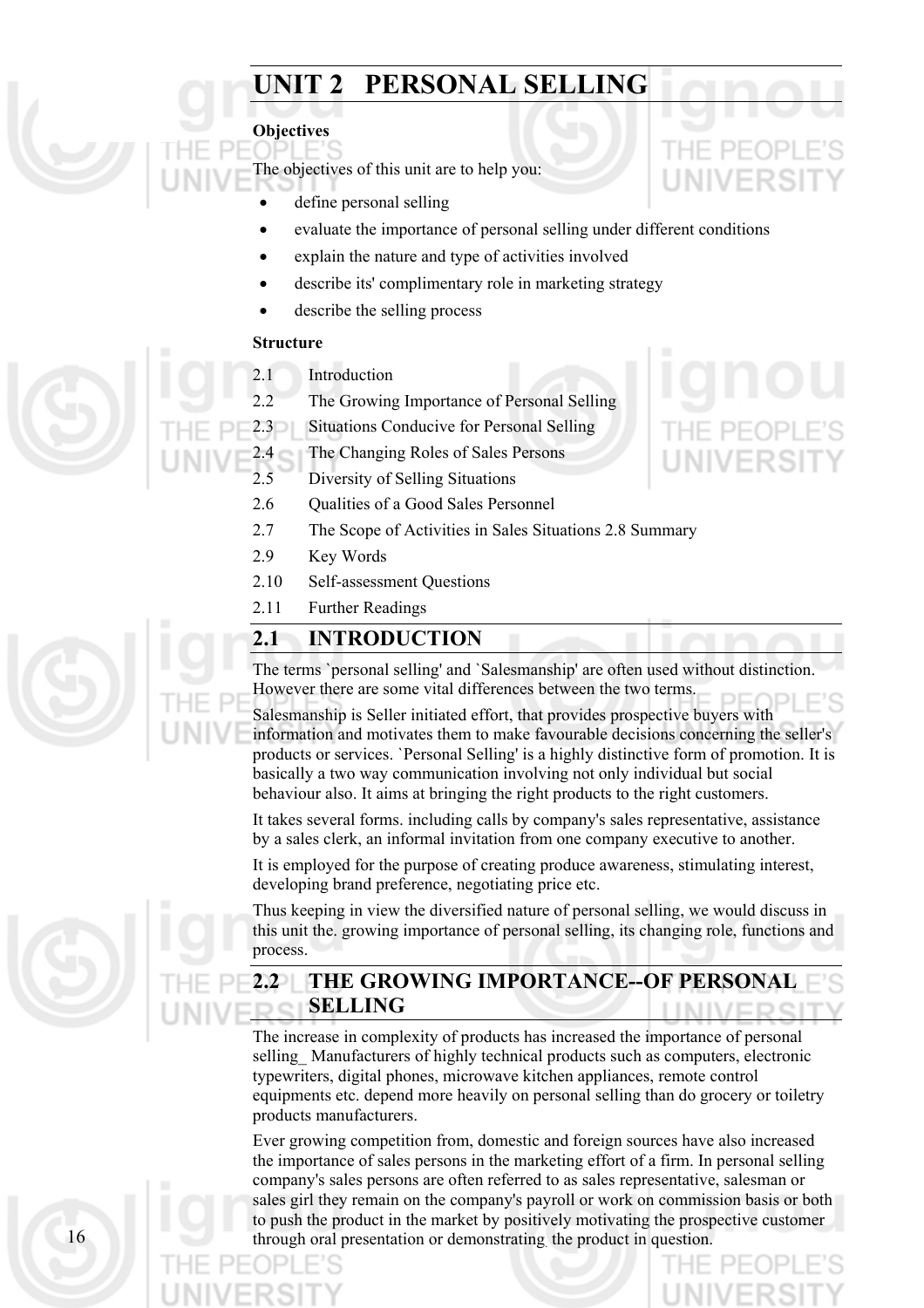# **UNIT 2 PERSONAL SELLING**

#### **Objectives**

The objectives of this unit are to help you:

- define personal selling
- evaluate the importance of personal selling under different conditions
- explain the nature and type of activities involved
- describe its' complimentary role in marketing strategy
- describe the selling process

#### **Structure**

- 2.1 Introduction
- 2.2 The Growing Importance of Personal Selling
- 2.3 Situations Conducive for Personal Selling
- 2.4 The Changing Roles of Sales Persons
- 2.5 Diversity of Selling Situations
- 2.6 Oualities of a Good Sales Personnel
- 2.7 The Scope of Activities in Sales Situations 2.8 Summary
- 2.9 Key Words
- 2.10 Self-assessment Questions
- 2.11 Further Readings

# **2.1 INTRODUCTION**

The terms `personal selling' and `Salesmanship' are often used without distinction. However there are some vital differences between the two terms.

Salesmanship is Seller initiated effort, that provides prospective buyers with information and motivates them to make favourable decisions concerning the seller's products or services. `Personal Selling' is a highly distinctive form of promotion. It is basically a two way communication involving not only individual but social behaviour also. It aims at bringing the right products to the right customers.

It takes several forms. including calls by company's sales representative, assistance by a sales clerk, an informal invitation from one company executive to another.

It is employed for the purpose of creating produce awareness, stimulating interest, developing brand preference, negotiating price etc.

Thus keeping in view the diversified nature of personal selling, we would discuss in this unit the. growing importance of personal selling, its changing role, functions and process.

# **2.2 THE GROWING IMPORTANCE--OF PERSONAL SELLING**

The increase in complexity of products has increased the importance of personal selling Manufacturers of highly technical products such as computers, electronic typewriters, digital phones, microwave kitchen appliances, remote control equipments etc. depend more heavily on personal selling than do grocery or toiletry products manufacturers.

Ever growing competition from, domestic and foreign sources have also increased the importance of sales persons in the marketing effort of a firm. In personal selling company's sales persons are often referred to as sales representative, salesman or sales girl they remain on the company's payroll or work on commission basis or both to push the product in the market by positively motivating the prospective customer 16 through oral presentation or demonstrating the product in question.



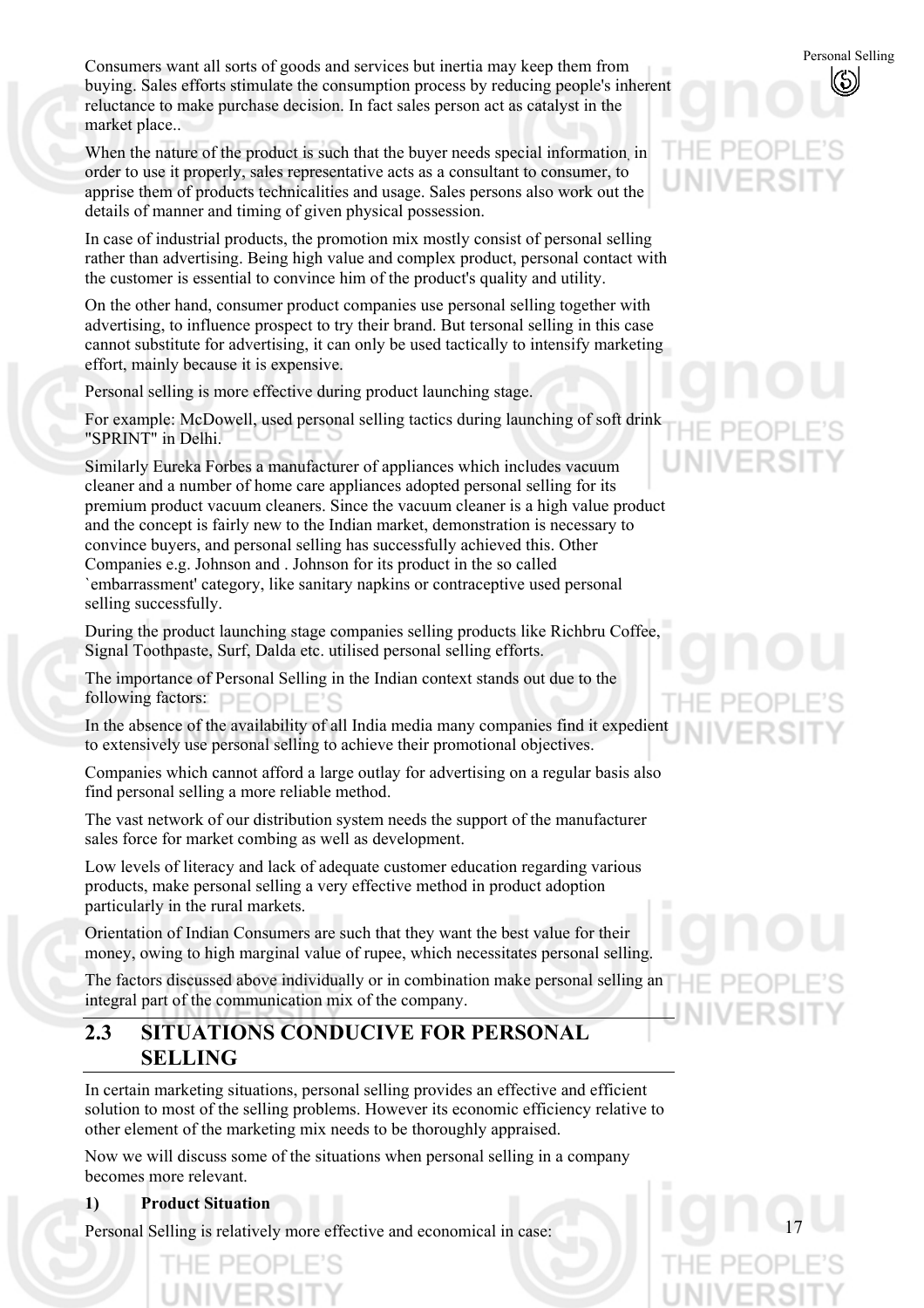Consumers want all sorts of goods and services but inertia may keep them from<br>huving Sales efforts stimulate the consumption process by reducing people's inherent buying. Sales efforts stimulate the consumption process by reducing people's inherent reluctance to make purchase decision. In fact sales person act as catalyst in the market place..

When the nature of the product is such that the buyer needs special information in order to use it properly, sales representative acts as a consultant to consumer, to apprise them of products technicalities and usage. Sales persons also work out the details of manner and timing of given physical possession.

In case of industrial products, the promotion mix mostly consist of personal selling rather than advertising. Being high value and complex product, personal contact with the customer is essential to convince him of the product's quality and utility.

On the other hand, consumer product companies use personal selling together with advertising, to influence prospect to try their brand. But tersonal selling in this case cannot substitute for advertising, it can only be used tactically to intensify marketing effort, mainly because it is expensive.

Personal selling is more effective during product launching stage.

For example: McDowell, used personal selling tactics during launching of soft drink "SPRINT" in Delhi.

Similarly Eureka Forbes a manufacturer of appliances which includes vacuum cleaner and a number of home care appliances adopted personal selling for its premium product vacuum cleaners. Since the vacuum cleaner is a high value product and the concept is fairly new to the Indian market, demonstration is necessary to convince buyers, and personal selling has successfully achieved this. Other Companies e.g. Johnson and . Johnson for its product in the so called `embarrassment' category, like sanitary napkins or contraceptive used personal selling successfully.

During the product launching stage companies selling products like Richbru Coffee, Signal Toothpaste, Surf, Dalda etc. utilised personal selling efforts.

The importance of Personal Selling in the Indian context stands out due to the following factors:

In the absence of the availability of all India media many companies find it expedient to extensively use personal selling to achieve their promotional objectives.

Companies which cannot afford a large outlay for advertising on a regular basis also find personal selling a more reliable method.

The vast network of our distribution system needs the support of the manufacturer sales force for market combing as well as development.

Low levels of literacy and lack of adequate customer education regarding various products, make personal selling a very effective method in product adoption particularly in the rural markets.

Orientation of Indian Consumers are such that they want the best value for their money, owing to high marginal value of rupee, which necessitates personal selling.

The factors discussed above individually or in combination make personal selling an integral part of the communication mix of the company.

# **2.3 SITUATIONS CONDUCIVE FOR PERSONAL SELLING**

In certain marketing situations, personal selling provides an effective and efficient solution to most of the selling problems. However its economic efficiency relative to other element of the marketing mix needs to be thoroughly appraised.

Now we will discuss some of the situations when personal selling in a company becomes more relevant.

**1) Product Situation** 

Personal Selling is relatively more effective and economical in case:

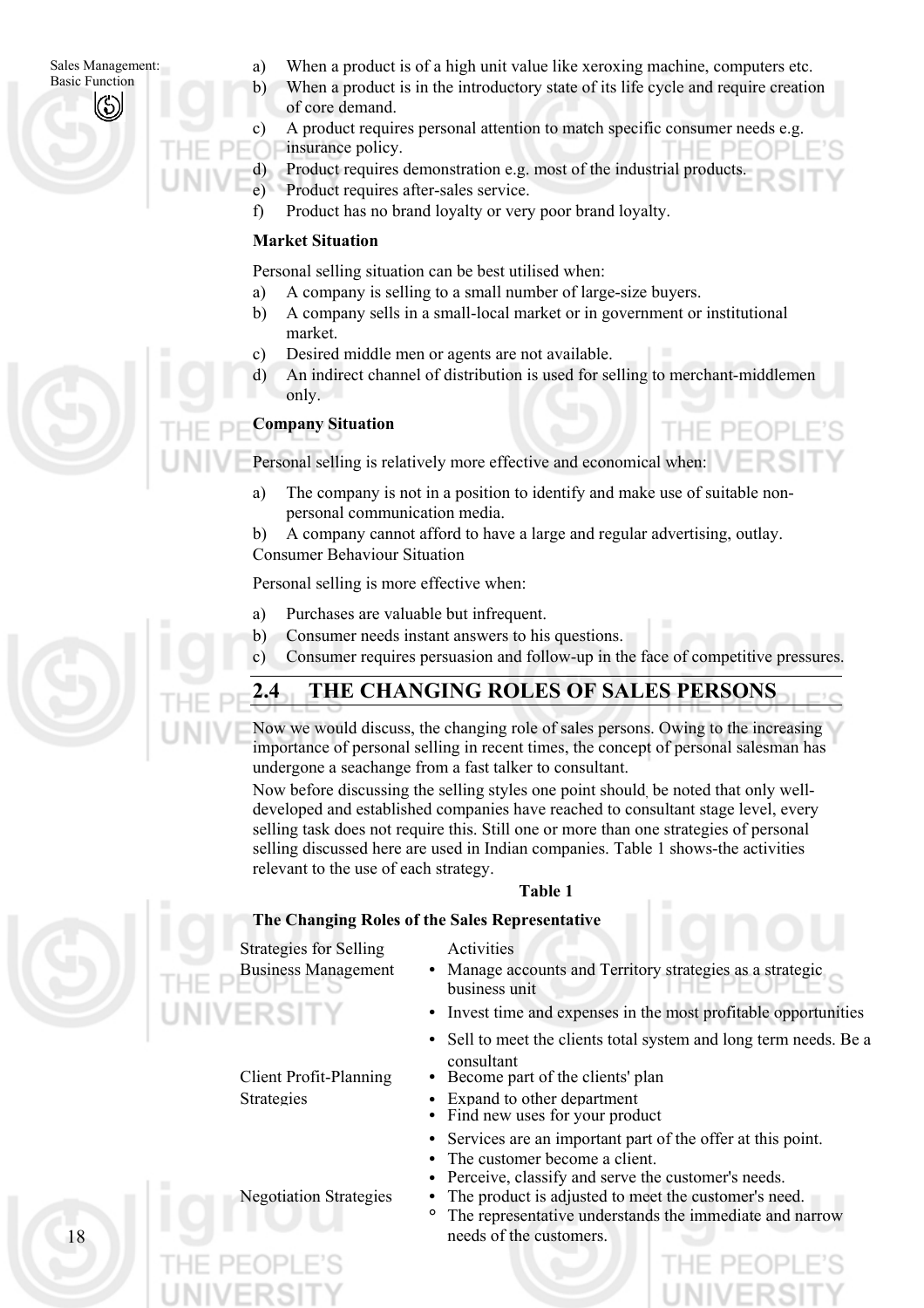#### Sales Management: Basic Function

- a) When a product is of a high unit value like xeroxing machine, computers etc.
- b) When a product is in the introductory state of its life cycle and require creation of core demand.
- c) A product requires personal attention to match specific consumer needs e.g. insurance policy.
- d) Product requires demonstration e.g. most of the industrial products.
- e) Product requires after-sales service.
- f) Product has no brand loyalty or very poor brand loyalty.

## **Market Situation**

Personal selling situation can be best utilised when:

- a) A company is selling to a small number of large-size buyers.
- b) A company sells in a small-local market or in government or institutional market.
	- Desired middle men or agents are not available.
- d) An indirect channel of distribution is used for selling to merchant-middlemen only.

THE PEOPLE'S

### **Company Situation**

c)

Personal selling is relatively more effective and economical when:

- a) The company is not in a position to identify and make use of suitable nonpersonal communication media.
- b) A company cannot afford to have a large and regular advertising, outlay. Consumer Behaviour Situation

Personal selling is more effective when:

- a) Purchases are valuable but infrequent.
- b) Consumer needs instant answers to his questions.
- c) Consumer requires persuasion and follow-up in the face of competitive pressures.



# **2.4 THE CHANGING ROLES OF SALES PERSONS**

Now we would discuss, the changing role of sales persons. Owing to the increasing importance of personal selling in recent times, the concept of personal salesman has undergone a seachange from a fast talker to consultant.

Now before discussing the selling styles one point should, be noted that only welldeveloped and established companies have reached to consultant stage level, every selling task does not require this. Still one or more than one strategies of personal selling discussed here are used in Indian companies. Table 1 shows-the activities relevant to the use of each strategy.

#### **Table 1**

#### **The Changing Roles of the Sales Representative**

Strategies for Selling Activities

- Business Management **•** Manage accounts and Territory strategies as a strategic business unit
	- **•** Invest time and expenses in the most profitable opportunities
	- **•** Sell to meet the clients total system and long term needs. Be a consultant
- Client Profit-Planning **•** Become part of the clients' plan
- Strategies **•** Expand to other department<br>**•** Find new uses for your product
	-
	- **•** Services are an important part of the offer at this point.
	- The customer become a client.
	- Perceive, classify and serve the customer's needs.
- Negotiation Strategies **•** The product is adjusted to meet the customer's need.
	- **°** The representative understands the immediate and narrow needs of the customers.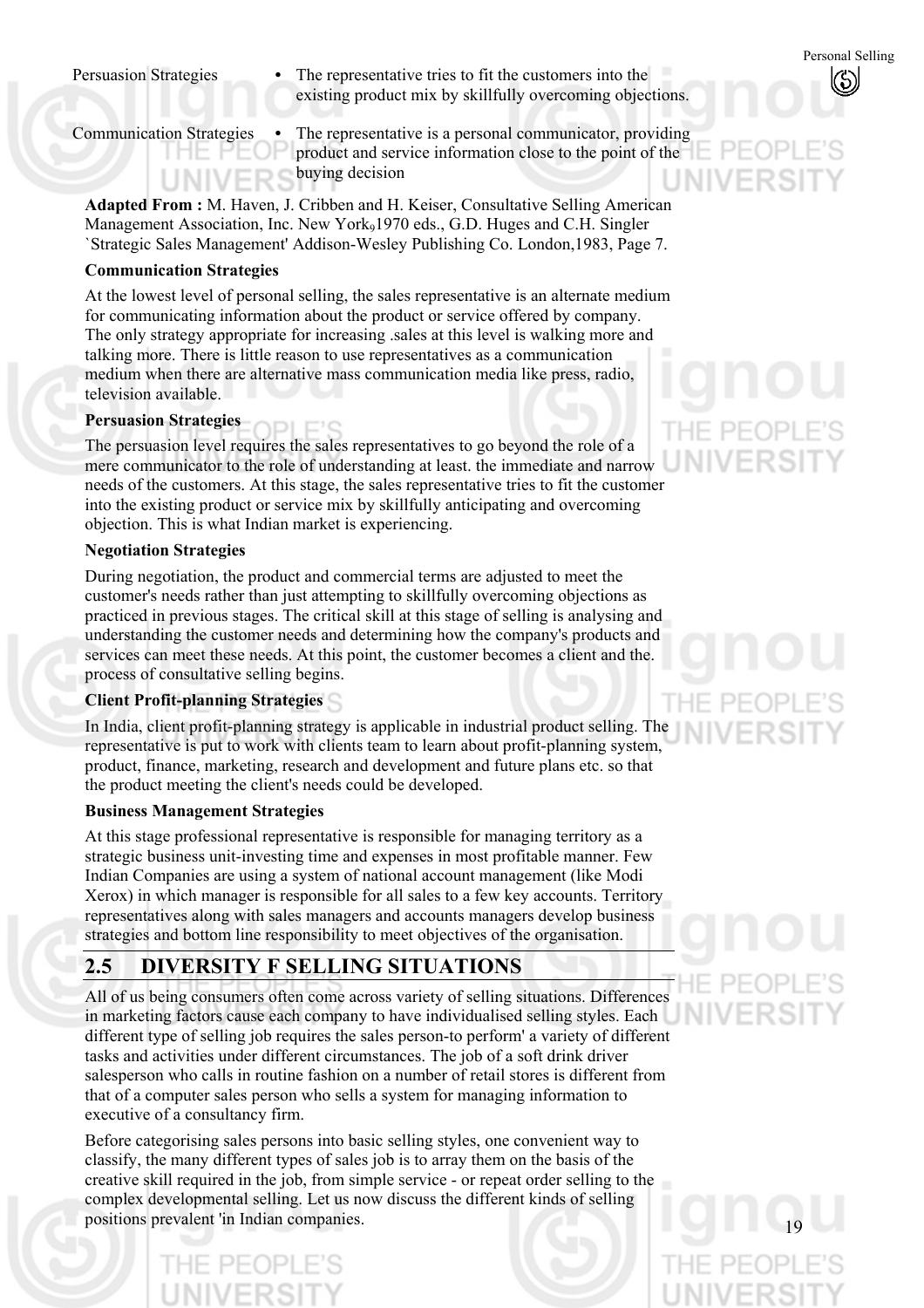Persuasion Strategies • The representative tries to fit the customers into the existing product mix by skillfully overcoming objections.

Communication Strategies **•** The representative is a personal communicator, providing product and service information close to the point of the buying decision

**Adapted From :** M. Haven, J. Cribben and H. Keiser, Consultative Selling American Management Association, Inc. New York<sub>9</sub>1970 eds., G.D. Huges and C.H. Singler `Strategic Sales Management' Addison-Wesley Publishing Co. London,1983, Page 7.

#### **Communication Strategies**

At the lowest level of personal selling, the sales representative is an alternate medium for communicating information about the product or service offered by company. The only strategy appropriate for increasing .sales at this level is walking more and talking more. There is little reason to use representatives as a communication medium when there are alternative mass communication media like press, radio, television available.

### **Persuasion Strategies**

The persuasion level requires the sales representatives to go beyond the role of a mere communicator to the role of understanding at least. the immediate and narrow needs of the customers. At this stage, the sales representative tries to fit the customer into the existing product or service mix by skillfully anticipating and overcoming objection. This is what Indian market is experiencing.

#### **Negotiation Strategies**

During negotiation, the product and commercial terms are adjusted to meet the customer's needs rather than just attempting to skillfully overcoming objections as practiced in previous stages. The critical skill at this stage of selling is analysing and understanding the customer needs and determining how the company's products and services can meet these needs. At this point, the customer becomes a client and the. process of consultative selling begins.

## **Client Profit-planning Strategies**

In India, client profit-planning strategy is applicable in industrial product selling. The representative is put to work with clients team to learn about profit-planning system, product, finance, marketing, research and development and future plans etc. so that the product meeting the client's needs could be developed.

#### **Business Management Strategies**

At this stage professional representative is responsible for managing territory as a strategic business unit-investing time and expenses in most profitable manner. Few Indian Companies are using a system of national account management (like Modi Xerox) in which manager is responsible for all sales to a few key accounts. Territory representatives along with sales managers and accounts managers develop business strategies and bottom line responsibility to meet objectives of the organisation.

# **2.5 DIVERSITY F SELLING SITUATIONS**

All of us being consumers often come across variety of selling situations. Differences in marketing factors cause each company to have individualised selling styles. Each different type of selling job requires the sales person-to perform' a variety of different tasks and activities under different circumstances. The job of a soft drink driver salesperson who calls in routine fashion on a number of retail stores is different from that of a computer sales person who sells a system for managing information to executive of a consultancy firm.

Before categorising sales persons into basic selling styles, one convenient way to classify, the many different types of sales job is to array them on the basis of the creative skill required in the job, from simple service - or repeat order selling to the complex developmental selling. Let us now discuss the different kinds of selling positions prevalent 'in Indian companies.

THE PEC

Personal Selling

 $\mathcal{S})$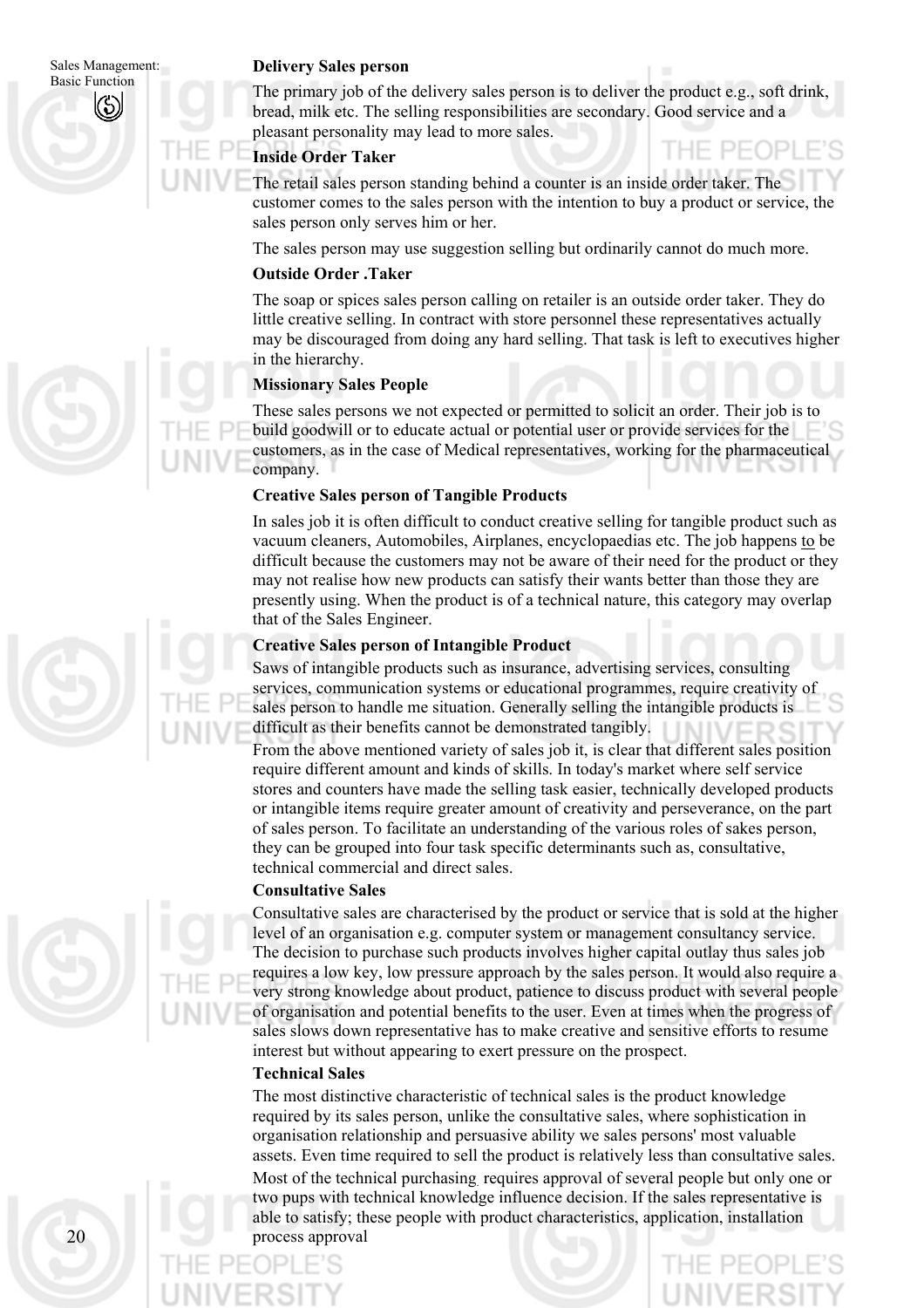Sales Management:

#### **Delivery Sales person**

Basic Function The primary job of the delivery sales person is to deliver the product e.g., soft drink, bread, milk etc. The selling responsibilities are secondary. Good service and a pleasant personality may lead to more sales.

- PF(

#### **Inside Order Taker**

The retail sales person standing behind a counter is an inside order taker. The customer comes to the sales person with the intention to buy a product or service, the sales person only serves him or her.

The sales person may use suggestion selling but ordinarily cannot do much more.

#### **Outside Order .Taker**

The soap or spices sales person calling on retailer is an outside order taker. They do little creative selling. In contract with store personnel these representatives actually may be discouraged from doing any hard selling. That task is left to executives higher in the hierarchy.

#### **Missionary Sales People**

These sales persons we not expected or permitted to solicit an order. Their job is to build goodwill or to educate actual or potential user or provide services for the customers, as in the case of Medical representatives, working for the pharmaceutical company.

#### **Creative Sales person of Tangible Products**

In sales job it is often difficult to conduct creative selling for tangible product such as vacuum cleaners, Automobiles, Airplanes, encyclopaedias etc. The job happens to be difficult because the customers may not be aware of their need for the product or they may not realise how new products can satisfy their wants better than those they are presently using. When the product is of a technical nature, this category may overlap that of the Sales Engineer.

#### **Creative Sales person of Intangible Product**

Saws of intangible products such as insurance, advertising services, consulting services, communication systems or educational programmes, require creativity of sales person to handle me situation. Generally selling the intangible products is difficult as their benefits cannot be demonstrated tangibly.

From the above mentioned variety of sales job it, is clear that different sales position require different amount and kinds of skills. In today's market where self service stores and counters have made the selling task easier, technically developed products or intangible items require greater amount of creativity and perseverance, on the part of sales person. To facilitate an understanding of the various roles of sakes person, they can be grouped into four task specific determinants such as, consultative, technical commercial and direct sales.

#### **Consultative Sales**

Consultative sales are characterised by the product or service that is sold at the higher level of an organisation e.g. computer system or management consultancy service. The decision to purchase such products involves higher capital outlay thus sales job requires a low key, low pressure approach by the sales person. It would also require a very strong knowledge about product, patience to discuss product with several people of organisation and potential benefits to the user. Even at times when the progress of sales slows down representative has to make creative and sensitive efforts to resume interest but without appearing to exert pressure on the prospect.

#### **Technical Sales**

The most distinctive characteristic of technical sales is the product knowledge required by its sales person, unlike the consultative sales, where sophistication in organisation relationship and persuasive ability we sales persons' most valuable assets. Even time required to sell the product is relatively less than consultative sales. Most of the technical purchasing. requires approval of several people but only one or two pups with technical knowledge influence decision. If the sales representative is able to satisfy; these people with product characteristics, application, installation process approval

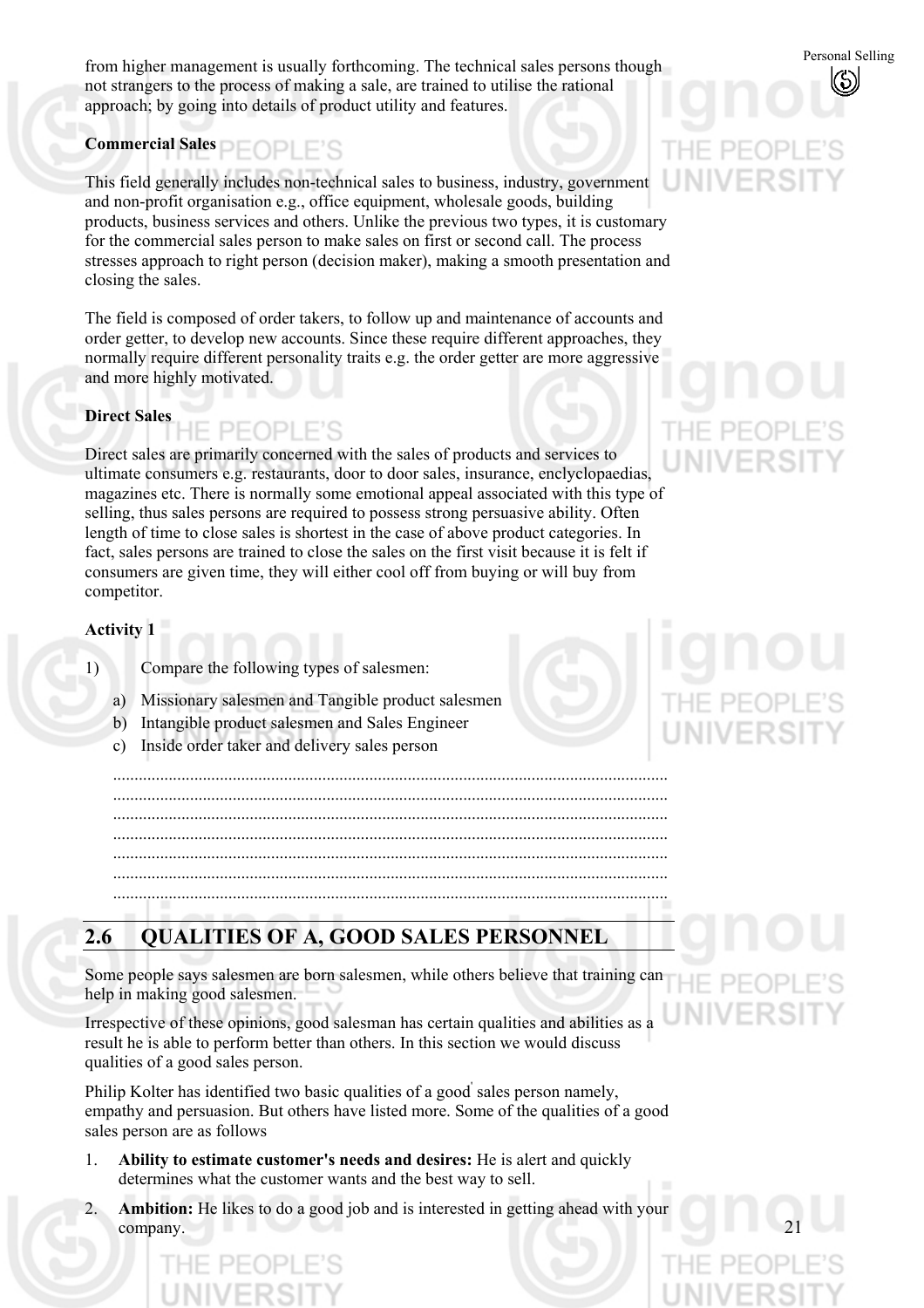from higher management is usually forthcoming. The technical sales persons though not strangers to the process of making a sale, are trained to utilise the rational approach; by going into details of product utility and features.

# **Commercial Sales**

This field generally includes non-technical sales to business, industry, government and non-profit organisation e.g., office equipment, wholesale goods, building products, business services and others. Unlike the previous two types, it is customary for the commercial sales person to make sales on first or second call. The process stresses approach to right person (decision maker), making a smooth presentation and closing the sales.

The field is composed of order takers, to follow up and maintenance of accounts and order getter, to develop new accounts. Since these require different approaches, they normally require different personality traits e.g. the order getter are more aggressive and more highly motivated.

#### **Direct Sales**

Direct sales are primarily concerned with the sales of products and services to ultimate consumers e.g. restaurants, door to door sales, insurance, enclyclopaedias, magazines etc. There is normally some emotional appeal associated with this type of selling, thus sales persons are required to possess strong persuasive ability. Often length of time to close sales is shortest in the case of above product categories. In fact, sales persons are trained to close the sales on the first visit because it is felt if consumers are given time, they will either cool off from buying or will buy from competitor.

#### **Activity 1**

- 1) Compare the following types of salesmen:
	- a) Missionary salesmen and Tangible product salesmen
	- b) Intangible product salesmen and Sales Engineer
	- c) Inside order taker and delivery sales person

.................................................................................................................................. .................................................................................................................................. .................................................................................................................................. .................................................................................................................................. .................................................................................................................................. .................................................................................................................................. ..................................................................................................................................

# **2.6 QUALITIES OF A, GOOD SALES PERSONNEL**

Some people says salesmen are born salesmen, while others believe that training can help in making good salesmen.

Irrespective of these opinions, good salesman has certain qualities and abilities as a result he is able to perform better than others. In this section we would discuss qualities of a good sales person.

Philip Kolter has identified two basic qualities of a good' sales person namely, empathy and persuasion. But others have listed more. Some of the qualities of a good sales person are as follows

- 1. **Ability to estimate customer's needs and desires:** He is alert and quickly determines what the customer wants and the best way to sell.
- 2. **Ambition:** He likes to do a good job and is interested in getting ahead with your company.

# **INIV**

Personal Selling

 $\mathcal{S})$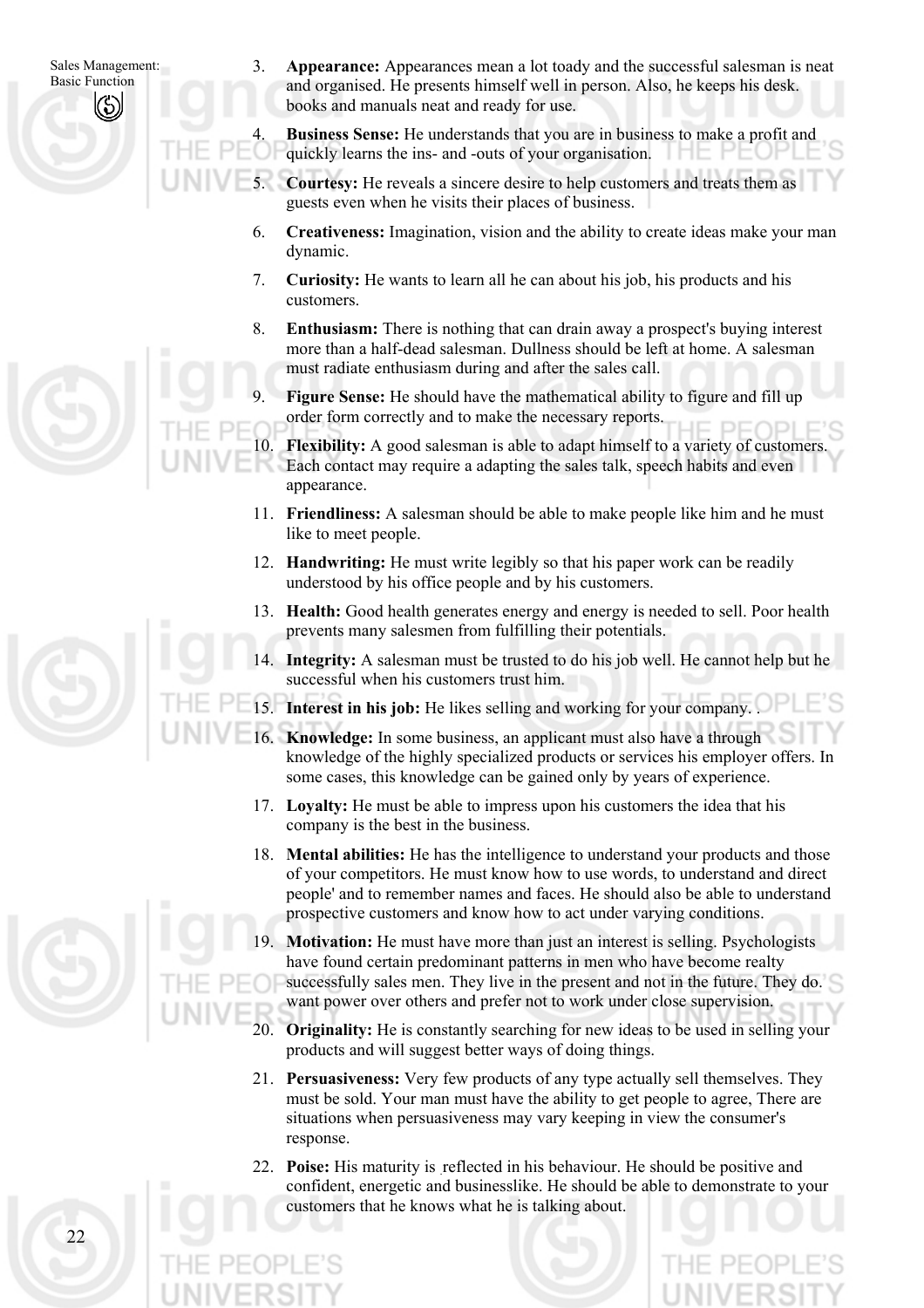Sales Management: Basic Function

3. **Appearance:** Appearances mean a lot toady and the successful salesman is neat and organised. He presents himself well in person. Also, he keeps his desk. books and manuals neat and ready for use.

**Business Sense:** He understands that you are in business to make a profit and quickly learns the ins- and -outs of your organisation.

5. **Courtesy:** He reveals a sincere desire to help customers and treats them as guests even when he visits their places of business.

- 6. **Creativeness:** Imagination, vision and the ability to create ideas make your man dynamic.
- 7. **Curiosity:** He wants to learn all he can about his job, his products and his customers.
- 8. **Enthusiasm:** There is nothing that can drain away a prospect's buying interest more than a half-dead salesman. Dullness should be left at home. A salesman must radiate enthusiasm during and after the sales call.
- **Figure Sense:** He should have the mathematical ability to figure and fill up order form correctly and to make the necessary reports.

**Flexibility:** A good salesman is able to adapt himself to a variety of customers. Each contact may require a adapting the sales talk, speech habits and even appearance.

- 11. **Friendliness:** A salesman should be able to make people like him and he must like to meet people.
- 12. **Handwriting:** He must write legibly so that his paper work can be readily understood by his office people and by his customers.
- 13. **Health:** Good health generates energy and energy is needed to sell. Poor health prevents many salesmen from fulfilling their potentials.
- 14. **Integrity:** A salesman must be trusted to do his job well. He cannot help but he successful when his customers trust him.

15. **Interest in his job:** He likes selling and working for your company. .

- 16. **Knowledge:** In some business, an applicant must also have a through knowledge of the highly specialized products or services his employer offers. In some cases, this knowledge can be gained only by years of experience.
- 17. **Loyalty:** He must be able to impress upon his customers the idea that his company is the best in the business.
- 18. **Mental abilities:** He has the intelligence to understand your products and those of your competitors. He must know how to use words, to understand and direct people' and to remember names and faces. He should also be able to understand prospective customers and know how to act under varying conditions.
- **Motivation:** He must have more than just an interest is selling. Psychologists have found certain predominant patterns in men who have become realty successfully sales men. They live in the present and not in the future. They do. want power over others and prefer not to work under close supervision.
- 20. **Originality:** He is constantly searching for new ideas to be used in selling your products and will suggest better ways of doing things.
- 21. **Persuasiveness:** Very few products of any type actually sell themselves. They must be sold. Your man must have the ability to get people to agree, There are situations when persuasiveness may vary keeping in view the consumer's response.
- 22. **Poise:** His maturity is reflected in his behaviour. He should be positive and confident, energetic and businesslike. He should be able to demonstrate to your customers that he knows what he is talking about.

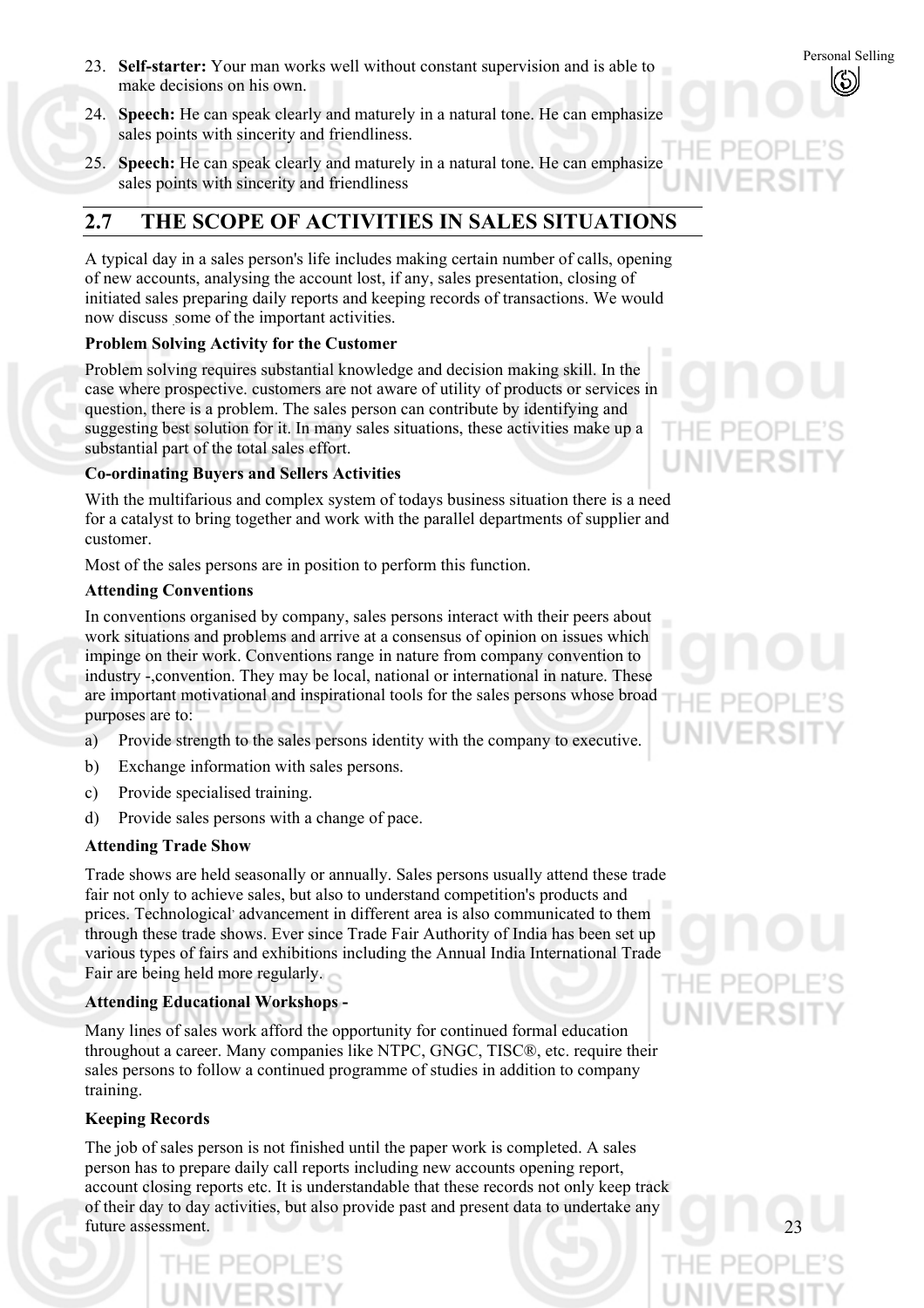- 23. **Self-starter:** Your man works well without constant supervision and is able to<br>make decisions on his own make decisions on his own.
- 24. **Speech:** He can speak clearly and maturely in a natural tone. He can emphasize sales points with sincerity and friendliness.
- 25. **Speech:** He can speak clearly and maturely in a natural tone. He can emphasize sales points with sincerity and friendliness

# **2.7 THE SCOPE OF ACTIVITIES IN SALES SITUATIONS**

A typical day in a sales person's life includes making certain number of calls, opening of new accounts, analysing the account lost, if any, sales presentation, closing of initiated sales preparing daily reports and keeping records of transactions. We would now discuss some of the important activities.

### **Problem Solving Activity for the Customer**

Problem solving requires substantial knowledge and decision making skill. In the case where prospective. customers are not aware of utility of products or services in question, there is a problem. The sales person can contribute by identifying and suggesting best solution for it. In many sales situations, these activities make up a substantial part of the total sales effort.

### **Co-ordinating Buyers and Sellers Activities**

With the multifarious and complex system of todays business situation there is a need for a catalyst to bring together and work with the parallel departments of supplier and customer.

Most of the sales persons are in position to perform this function.

#### **Attending Conventions**

In conventions organised by company, sales persons interact with their peers about work situations and problems and arrive at a consensus of opinion on issues which impinge on their work. Conventions range in nature from company convention to industry -,convention. They may be local, national or international in nature. These are important motivational and inspirational tools for the sales persons whose broad purposes are to:

- a) Provide strength to the sales persons identity with the company to executive.
- b) Exchange information with sales persons.
- c) Provide specialised training.
- d) Provide sales persons with a change of pace.

PEOPL

#### **Attending Trade Show**

Trade shows are held seasonally or annually. Sales persons usually attend these trade fair not only to achieve sales, but also to understand competition's products and prices. Technological advancement in different area is also communicated to them through these trade shows. Ever since Trade Fair Authority of India has been set up various types of fairs and exhibitions including the Annual India International Trade Fair are being held more regularly.

## **Attending Educational Workshops -**

Many lines of sales work afford the opportunity for continued formal education throughout a career. Many companies like NTPC, GNGC, TISC®, etc. require their sales persons to follow a continued programme of studies in addition to company training.

#### **Keeping Records**

The job of sales person is not finished until the paper work is completed. A sales person has to prepare daily call reports including new accounts opening report, account closing reports etc. It is understandable that these records not only keep track of their day to day activities, but also provide past and present data to undertake any future assessment.

F PF(

 $HF$  PF(

UNIVERSIT

THE PEOP UNIVERSIT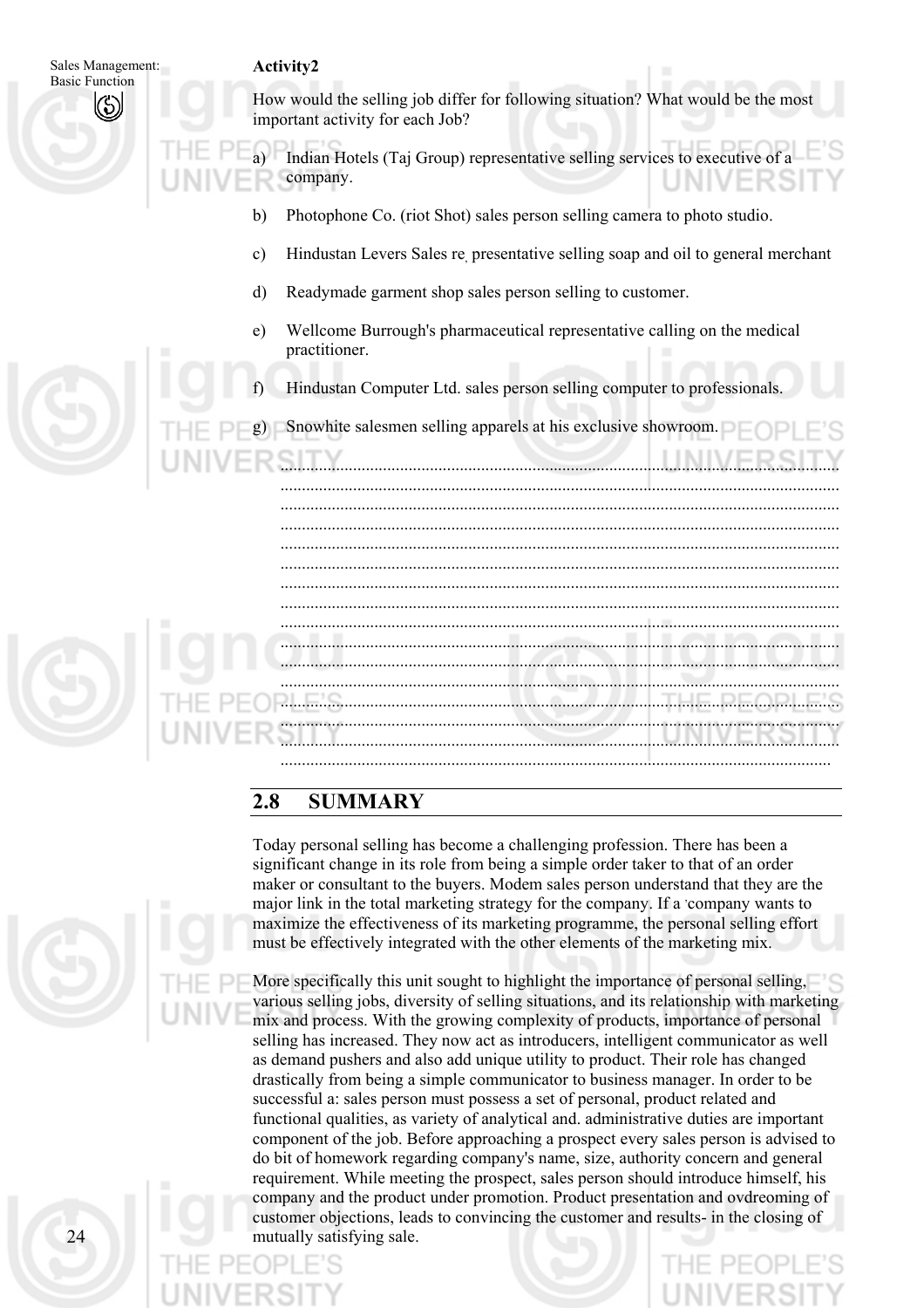| Sales Management:     |               | Activity2                                                                                                            |
|-----------------------|---------------|----------------------------------------------------------------------------------------------------------------------|
| <b>Basic Function</b> |               | How would the selling job differ for following situation? What would be the most<br>important activity for each Job? |
|                       |               | Indian Hotels (Taj Group) representative selling services to executive of<br>company.                                |
|                       | b)            | Photophone Co. (riot Shot) sales person selling camera to photo studio.                                              |
|                       | $\mathbf{c})$ | Hindustan Levers Sales re presentative selling soap and oil to general merchant                                      |
|                       | d)            | Readymade garment shop sales person selling to customer.                                                             |
|                       | e)            | Wellcome Burrough's pharmaceutical representative calling on the medical<br>practitioner.                            |
|                       | $\uparrow$    | Hindustan Computer Ltd. sales person selling computer to professionals.                                              |
|                       |               | Snowhite salesmen selling apparels at his exclusive showroom.                                                        |
|                       |               |                                                                                                                      |
|                       |               |                                                                                                                      |
|                       |               |                                                                                                                      |
|                       |               |                                                                                                                      |
|                       |               |                                                                                                                      |
|                       |               |                                                                                                                      |
|                       |               |                                                                                                                      |

## **2.8 SUMMARY**

Today personal selling has become a challenging profession. There has been a significant change in its role from being a simple order taker to that of an order maker or consultant to the buyers. Modem sales person understand that they are the major link in the total marketing strategy for the company. If a company wants to maximize the effectiveness of its marketing programme, the personal selling effort must be effectively integrated with the other elements of the marketing mix.

.................................................................................................................................

More specifically this unit sought to highlight the importance of personal selling, various selling jobs, diversity of selling situations, and its relationship with marketing mix and process. With the growing complexity of products, importance of personal selling has increased. They now act as introducers, intelligent communicator as well as demand pushers and also add unique utility to product. Their role has changed drastically from being a simple communicator to business manager. In order to be successful a: sales person must possess a set of personal, product related and functional qualities, as variety of analytical and. administrative duties are important component of the job. Before approaching a prospect every sales person is advised to do bit of homework regarding company's name, size, authority concern and general requirement. While meeting the prospect, sales person should introduce himself, his company and the product under promotion. Product presentation and ovdreoming of customer objections, leads to convincing the customer and results- in the closing of mutually satisfying sale.